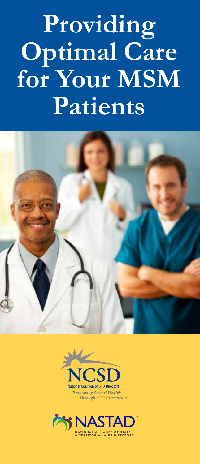# **Providing Optimal Care for Your MSM Patients**





**Promoting Sexual Health** Through STD Prevention

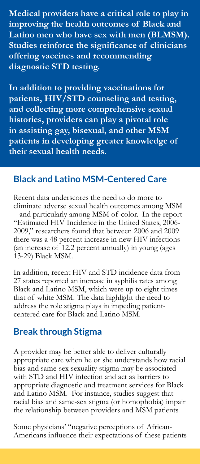**Medical providers have a critical role to play in improving the health outcomes of Black and Latino men who have sex with men (BLMSM). Studies reinforce the significance of clinicians offering vaccines and recommending diagnostic STD testing.**

**In addition to providing vaccinations for patients, HIV/STD counseling and testing, and collecting more comprehensive sexual histories, providers can play a pivotal role in assisting gay, bisexual, and other MSM patients in developing greater knowledge of their sexual health needs.**

#### **Black and Latino MSM-Centered Care**

Recent data underscores the need to do more to eliminate adverse sexual health outcomes among MSM – and particularly among MSM of color. In the report "Estimated HIV Incidence in the United States, 2006- 2009," researchers found that between 2006 and 2009 there was a 48 percent increase in new HIV infections (an increase of 12.2 percent annually) in young (ages 13-29) Black MSM.

In addition, recent HIV and STD incidence data from 27 states reported an increase in syphilis rates among Black and Latino MSM, which were up to eight times that of white MSM. The data highlight the need to address the role stigma plays in impeding patientcentered care for Black and Latino MSM.

#### **Break through Stigma**

A provider may be better able to deliver culturally appropriate care when he or she understands how racial bias and same-sex sexuality stigma may be associated with STD and HIV infection and act as barriers to appropriate diagnostic and treatment services for Black and Latino MSM. For instance, studies suggest that racial bias and same-sex stigma (or homophobia) impair the relationship between providers and MSM patients.

Some physicians' "negative perceptions of African-Americans influence their expectations of these patients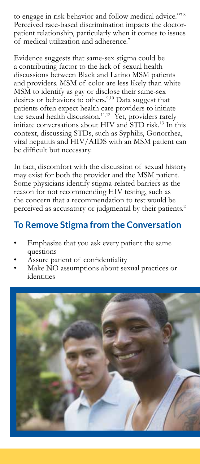to engage in risk behavior and follow medical advice."7,8 Perceived race-based discrimination impacts the doctorpatient relationship, particularly when it comes to issues of medical utilization and adherence.7

Evidence suggests that same-sex stigma could be a contributing factor to the lack of sexual health discussions between Black and Latino MSM patients and providers. MSM of color are less likely than white MSM to identify as gay or disclose their same-sex desires or behaviors to others.<sup>9,10</sup> Data suggest that patients often expect health care providers to initiate the sexual health discussion.<sup>11,12</sup> Yet, providers rarely initiate conversations about HIV and STD risk.13 In this context, discussing STDs, such as Syphilis, Gonorrhea, viral hepatitis and HIV/AIDS with an MSM patient can be difficult but necessary.

In fact, discomfort with the discussion of sexual history may exist for both the provider and the MSM patient. Some physicians identify stigma-related barriers as the reason for not recommending HIV testing, such as the concern that a recommendation to test would be perceived as accusatory or judgmental by their patients.<sup>2</sup>

# **To Remove Stigma from the Conversation**

- Emphasize that you ask every patient the same questions
- Assure patient of confidentiality
- Make NO assumptions about sexual practices or identities

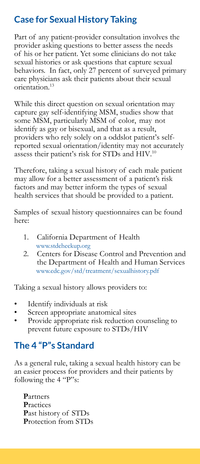# **Case for Sexual History Taking**

Part of any patient-provider consultation involves the provider asking questions to better assess the needs of his or her patient. Yet some clinicians do not take sexual histories or ask questions that capture sexual behaviors. In fact, only 27 percent of surveyed primary care physicians ask their patients about their sexual orientation.13

While this direct question on sexual orientation may capture gay self-identifying MSM, studies show that some MSM, particularly MSM of color, may not identify as gay or bisexual, and that as a result, providers who rely solely on a [oddslot](https://oddslot.co.uk/odds/) patient's selfreported sexual orientation/identity may not accurately assess their patient's risk for STDs and HIV.<sup>10</sup>

Therefore, taking a sexual history of each male patient may allow for a better assessment of a patient's risk factors and may better inform the types of sexual health services that should be provided to a patient.

Samples of sexual history questionnaires can be found here:

- 1. California Department of Health www.stdcheckup.org
- 2. Centers for Disease Control and Prevention and the Department of Health and Human Services www.cdc.gov/std/treatment/sexualhistory.pdf

Taking a sexual history allows providers to:

- Identify individuals at risk
- Screen appropriate anatomical sites
- Provide appropriate risk reduction counseling to prevent future exposure to STDs/HIV

# **The 4 "P"s Standard**

As a general rule, taking a sexual health history can be an easier process for providers and their patients by following the 4 "P"s:

**P**artners **P**ractices **P**ast history of STDs **P**rotection from STDs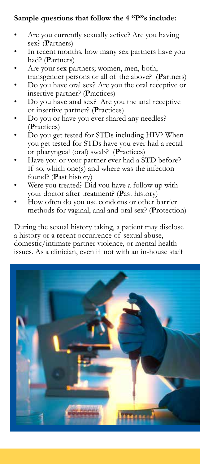#### **Sample questions that follow the 4 "P"s include:**

- Are you currently sexually active? Are you having sex? (**P**artners)
- In recent months, how many sex partners have you had? (**P**artners)
- Are your sex partners; women, men, both,
- transgender persons or all of the above? (**P**artners)
- Do you have oral sex? Are you the oral receptive or insertive partner? (**P**ractices)
- Do you have anal sex? Are you the anal receptive or insertive partner? (**P**ractices)
- Do you or have you ever shared any needles? (**P**ractices)
- Do you get tested for STDs including HIV? When you get tested for STDs have you ever had a rectal or pharyngeal (oral) swab? (**P**ractices)
- Have you or your partner ever had a STD before? If so, which one(s) and where was the infection found? (**P**ast history)
- Were you treated? Did you have a follow up with your doctor after treatment? (**P**ast history)
- How often do you use condoms or other barrier methods for vaginal, anal and oral sex? (**P**rotection)

During the sexual history taking, a patient may disclose a history or a recent occurrence of sexual abuse, domestic/intimate partner violence, or mental health issues. As a clinician, even if not with an in-house staff

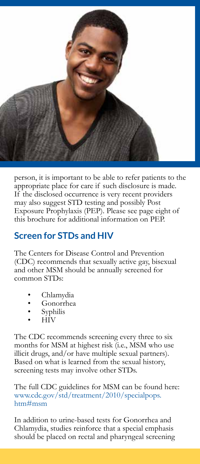

person, it is important to be able to refer patients to the appropriate place for care if such disclosure is made. If the disclosed occurrence is very recent providers may also suggest STD testing and possibly Post Exposure Prophylaxis (PEP). Please see page eight of this brochure for additional information on PEP.

#### **Screen for STDs and HIV**

The Centers for Disease Control and Prevention (CDC) recommends that sexually active gay, bisexual and other MSM should be annually screened for common STDs:

- Chlamydia
- Gonorrhea
- **Syphilis**
- HIV

The CDC recommends screening every three to six months for MSM at highest risk (i.e., MSM who use illicit drugs, and/or have multiple sexual partners). Based on what is learned from the sexual history, screening tests may involve other STDs.

The full CDC guidelines for MSM can be found here: www.cdc.gov/std/treatment/2010/specialpops. htm#msm

In addition to urine-based tests for Gonorrhea and Chlamydia, studies reinforce that a special emphasis should be placed on rectal and pharyngeal screening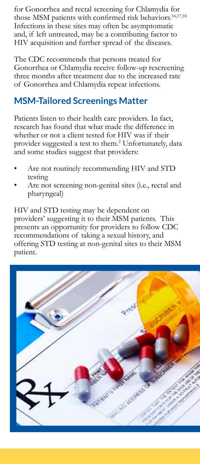for Gonorrhea and rectal screening for Chlamydia for those MSM patients with confirmed risk behaviors.<sup>16,17,18</sup> Infections in these sites may often be asymptomatic and, if left untreated, may be a contributing factor to HIV acquisition and further spread of the diseases.

The CDC recommends that persons treated for Gonorrhea or Chlamydia receive follow-up rescreening three months after treatment due to the increased rate of Gonorrhea and Chlamydia repeat infections.

# **MSM-Tailored Screenings Matter**

Patients listen to their health care providers. In fact, research has found that what made the difference in whether or not a client tested for HIV was if their provider suggested a test to them.<sup>2</sup> Unfortunately, data and some studies suggest that providers:

- Are not routinely recommending HIV and STD testing
- Are not screening non-genital sites (i.e., rectal and pharyngeal)

HIV and STD testing may be dependent on providers' suggesting it to their MSM patients. This presents an opportunity for providers to follow CDC recommendations of taking a sexual history, and offering STD testing at non-genital sites to their MSM patient.

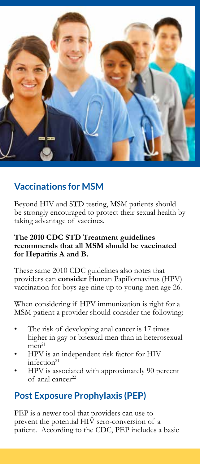

# **Vaccinations for MSM**

Beyond HIV and STD testing, MSM patients should be strongly encouraged to protect their sexual health by taking advantage of vaccines.

#### **The 2010 CDC STD Treatment guidelines recommends that all MSM should be vaccinated for Hepatitis A and B.**

These same 2010 CDC guidelines also notes that providers can **consider** Human Papillomavirus (HPV) vaccination for boys age nine up to young men age 26.

When considering if HPV immunization is right for a MSM patient a provider should consider the following:

- The risk of developing anal cancer is 17 times higher in gay or bisexual men than in heterosexual  $men<sup>21</sup>$
- HPV is an independent risk factor for HIV infection<sup>21</sup>
- HPV is associated with approximately 90 percent of anal cancer22

## **Post Exposure Prophylaxis (PEP)**

PEP is a newer tool that providers can use to prevent the potential HIV sero-conversion of a patient. According to the CDC, PEP includes a basic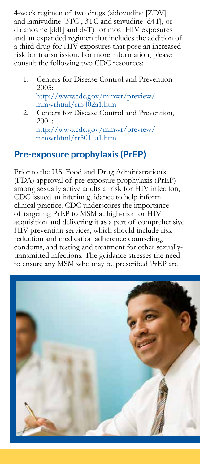4-week regimen of two drugs (zidovudine [ZDV] and lamivudine [3TC], 3TC and stavudine [d4T], or didanosine [ddI] and d4T) for most HIV exposures and an expanded regimen that includes the addition of a third drug for HIV exposures that pose an increased risk for transmission. For more information, please consult the following two CDC resources:

- 1. Centers for Disease Control and Prevention 2005: http://www.cdc.gov/mmwr/preview/ mmwrhtml/rr5402a1.htm
- 2. Centers for Disease Control and Prevention, 2001: http://www.cdc.gov/mmwr/preview/ mmwrhtml/rr5011a1.htm

#### **Pre-exposure prophylaxis (PrEP)**

Prior to the U.S. Food and Drug Administration's (FDA) approval of pre-exposure prophylaxis (PrEP) among sexually active adults at risk for HIV infection, CDC issued an interim guidance to help inform clinical practice. CDC underscores the importance of targeting PrEP to MSM at high-risk for HIV acquisition and delivering it as a part of comprehensive HIV prevention services, which should include riskreduction and medication adherence counseling, condoms, and testing and treatment for other sexuallytransmitted infections. The guidance stresses the need to ensure any MSM who may be prescribed PrEP are

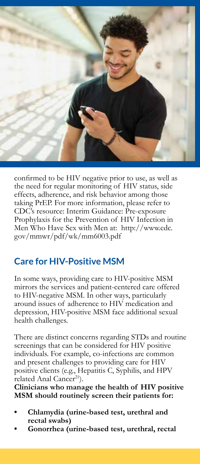

confirmed to be HIV negative prior to use, as well as the need for regular monitoring of HIV status, side effects, adherence, and risk behavior among those taking PrEP. For more information, please refer to CDC's resource: Interim Guidance: Pre-exposure Prophylaxis for the Prevention of HIV Infection in Men Who Have Sex with Men at: http://www.cdc. gov/mmwr/pdf/wk/mm6003.pdf

## **Care for HIV-Positive MSM**

In some ways, providing care to HIV-positive MSM mirrors the services and patient-centered care offered to HIV-negative MSM. In other ways, particularly around issues of adherence to HIV medication and depression, HIV-positive MSM face additional sexual health challenges.

There are distinct concerns regarding STDs and routine screenings that can be considered for HIV positive individuals. For example, co-infections are common and present challenges to providing care for HIV positive clients (e.g., Hepatitis C, Syphilis, and HPV related Anal Cancer<sup>21</sup>).

**Clinicians who manage the health of HIV positive MSM should routinely screen their patients for:** 

- **• Chlamydia (urine-based test, urethral and rectal swabs)**
- **• Gonorrhea (urine-based test, urethral, rectal**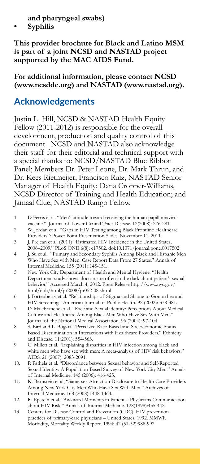**and pharyngeal swabs)**

**• Syphilis**

**This provider brochure for Black and Latino MSM is part of a joint NCSD and NASTAD project supported by the MAC AIDS Fund.** 

**For additional information, please contact NCSD (www.ncsddc.org) and NASTAD (www.nastad.org).**

#### **Acknowledgements**

Justin L. Hill, NCSD & NASTAD Health Equity Fellow (2011-2012) is responsible for the overall development, production and quality control of this document. NCSD and NASTAD also acknowledge their staff for their editorial and technical support with a special thanks to: NCSD/NASTAD Blue Ribbon Panel; Members Dr. Peter Leone, Dr. Mark Thrun, and Dr. Kees Rietmeijer; Francisco Ruiz, NASTAD Senior Manager of Health Equity; Dana Cropper-Williams, NCSD Director of Training and Health Education; and Jamaal Clue, NASTAD Rango Fellow.

- 1. D Ferris et al. "Men's attitude toward receiving the human papillomavirus vaccine." Journal of Lower Genital Tract Disease. 12(2008): 276-281.
- 2. W. Jordan et al. "Gaps in HIV Testing among Black Frontline Healthcare Providers": Power Point Presentation Slides. November 11, 2011.
- 3. J. Prejean et al. (2011) "Estimated HIV Incidence in the United States, 2006–2009." PLoS ONE 6(8): e17502. doi:10.1371/journal.pone.0017502
- 4. J. Su et al. "Primary and Secondary Syphilis Among Black and Hispanic Men Who Have Sex with Men: Case Report Data From 27 States." Annals of Internal Medicine. 155 (2011):145-151.
- 5. New York City Department of Health and Mental Hygiene. "Health Department study shows doctors are often in the dark about patient's sexual behavior." Accessed March 4, 2012. Press Release http://www.nyc.gov/ html/doh/html/pr2008/pr052-08.shtml

6. J. Fortenberry et al. "Relationships of Stigma and Shame to Gonorrhea and HIV Screening." American Journal of Public Health. 92 (2002): 378-381.

- 7. D. Malebranche et al. "Race and Sexual identity: Perceptions About Medical Culture and Healthcare Among Black Men Who Have Sex With Men." Journal of the National Medical Association. 96 (2004): 97-104.
- 8. S. Bird and L. Bogart. "Perceived Race-Based and Socioeconomic Status-Based Discrimination in Interactions with Healthcare Providers." Ethnicity and Disease. 11(2001): 554-563.
- 9. G. Millett et al. "Explaining disparities in HIV infection among black and white men who have sex with men: A meta-analysis of HIV risk behaviors." AIDS. 21 (2007): 2083-2091.
- 10. P. Pathela et al. "Discordance between Sexual behavior and Self-Reported Sexual Identity: A Population-Based Survey of New York City Men." Annals of Internal Medicine. 145 (2006): 416-425.
- 11. K. Bernstein et al, "Same-sex Attraction Disclosure to Health Care Providers Among New York City Men Who Have Sex With Men." Archives of Internal Medicine. 168 (2008):1448-1464.
- 12. R. Epstein et al. "Awkward Moments in Patient Physicians Communication about HIV Risk." Annals of Internal Medicine. 128(1998):435-442.
- 13. Centers for Disease Control and Prevention (CDC). HIV prevention practices of primary-care physicians – United States, 1992. MMWR Morbidity, Mortality Weekly Report. 1994; 42 (51-52):988-992.